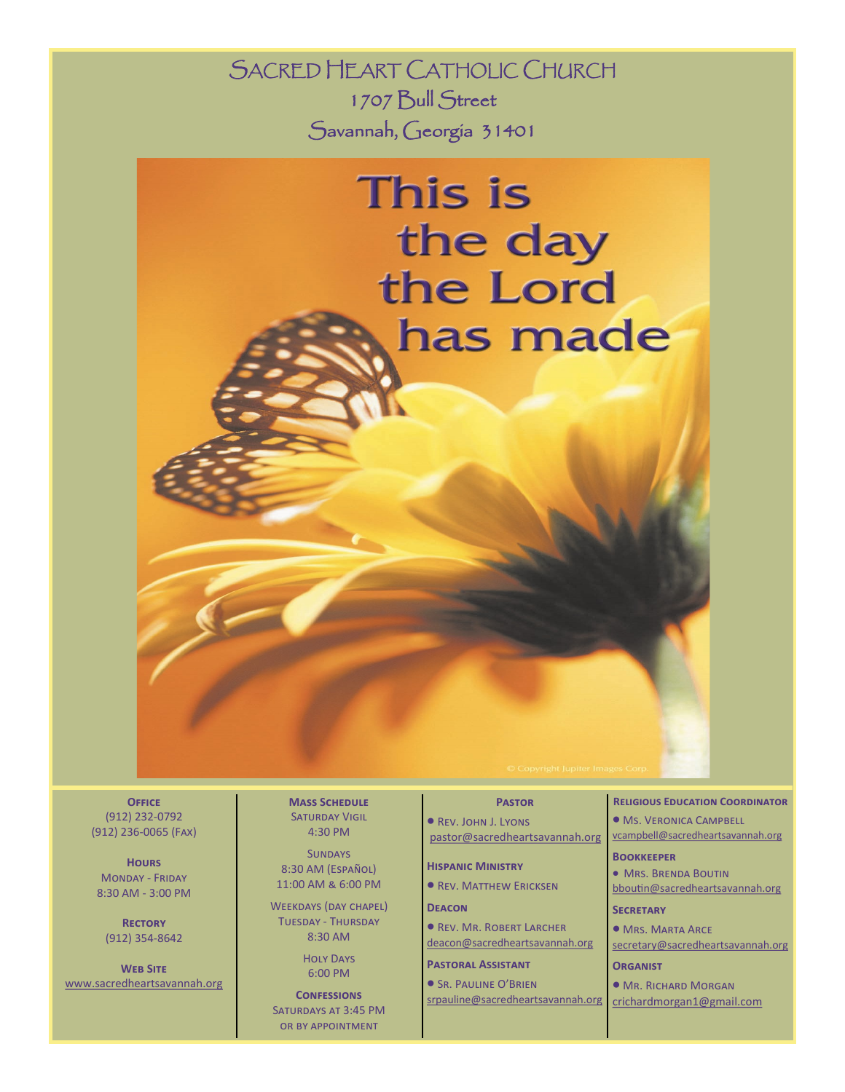SACRED HEART CATHOLIC CHURCH 1707 Bull Street Savannah, Georgia 31401



**Office**  (912) 232-0792 (912) 236-0065 (Fax)

**Hours** Monday - Friday 8:30 AM - 3:00 PM

**Rectory** (912) 354-8642

**Web Site** www.sacredheartsavannah.org **Mass Schedule** SATURDAY VIGIL 4:30 PM

**SUNDAYS** 8:30 AM (Español) 11:00 AM & 6:00 PM

WEEKDAYS (DAY CHAPEL) Tuesday - Thursday 8:30 AM

> Holy Days 6:00 PM

**CONFESSIONS** Saturdays at 3:45 PM or by appointment

### **Pastor**

 Rev. John J. Lyons pastor@sacredheartsavannah.org

**Hispanic Ministry**

**• REV. MATTHEW ERICKSEN** 

**Deacon**

**• REV. MR. ROBERT LARCHER** deacon@sacredheartsavannah.org

**Pastoral Assistant**

**SR. PAULINE O'BRIEN** srpauline@sacredheartsavannah.org

#### **Religious Education Coordinator**

**Ms. VERONICA CAMPBELL** vcampbell@sacredheartsavannah.org

#### **Bookkeeper**

 Mrs. Brenda Boutin bboutin@sacredheartsavannah.org

# **Secretary**

**MRS. MARTA ARCE** secretary@sacredheartsavannah.org

**Organist**

Mr. Richard Morgan

crichardmorgan1@gmail.com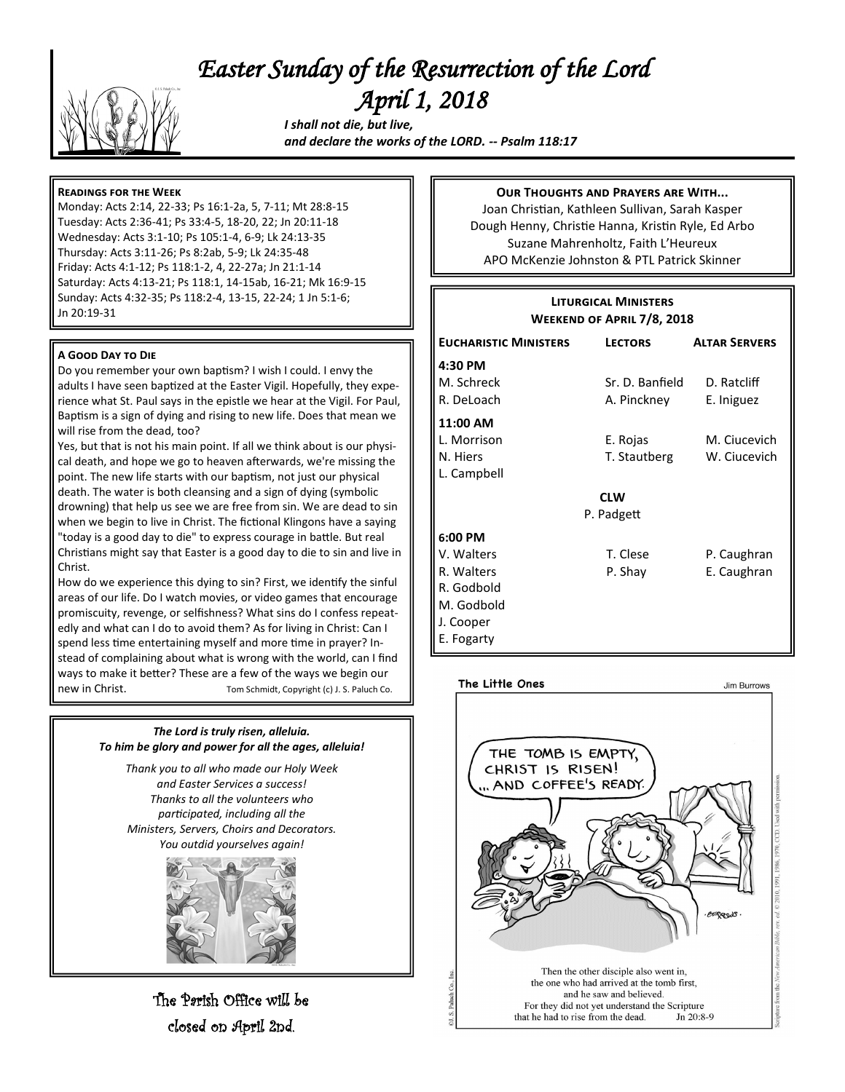# *Easter Sunday of the Resurrection of the Lord April 1, 2018*



 *I shall not die, but live, and declare the works of the LORD. -- Psalm 118:17*

# **Readings for the Week**

Monday: Acts 2:14, 22-33; Ps 16:1-2a, 5, 7-11; Mt 28:8-15 Tuesday: Acts 2:36-41; Ps 33:4-5, 18-20, 22; Jn 20:11-18 Wednesday: Acts 3:1-10; Ps 105:1-4, 6-9; Lk 24:13-35 Thursday: Acts 3:11-26; Ps 8:2ab, 5-9; Lk 24:35-48 Friday: Acts 4:1-12; Ps 118:1-2, 4, 22-27a; Jn 21:1-14 Saturday: Acts 4:13-21; Ps 118:1, 14-15ab, 16-21; Mk 16:9-15 Sunday: Acts 4:32-35; Ps 118:2-4, 13-15, 22-24; 1 Jn 5:1-6; Jn 20:19-31

#### **A Good Day to Die**

Do you remember your own baptism? I wish I could. I envy the adults I have seen baptized at the Easter Vigil. Hopefully, they experience what St. Paul says in the epistle we hear at the Vigil. For Paul, Baptism is a sign of dying and rising to new life. Does that mean we will rise from the dead, too?

Yes, but that is not his main point. If all we think about is our physical death, and hope we go to heaven afterwards, we're missing the point. The new life starts with our baptism, not just our physical death. The water is both cleansing and a sign of dying (symbolic drowning) that help us see we are free from sin. We are dead to sin when we begin to live in Christ. The fictional Klingons have a saying "today is a good day to die" to express courage in battle. But real Christians might say that Easter is a good day to die to sin and live in Christ.

How do we experience this dying to sin? First, we identify the sinful areas of our life. Do I watch movies, or video games that encourage promiscuity, revenge, or selfishness? What sins do I confess repeatedly and what can I do to avoid them? As for living in Christ: Can I spend less time entertaining myself and more time in prayer? Instead of complaining about what is wrong with the world, can I find ways to make it better? These are a few of the ways we begin our new in Christ. Tom Schmidt, Copyright (c) J. S. Paluch Co.

# *The Lord is truly risen, alleluia. To him be glory and power for all the ages, alleluia!*

*Thank you to all who made our Holy Week and Easter Services a success! Thanks to all the volunteers who participated, including all the Ministers, Servers, Choirs and Decorators. You outdid yourselves again!*



The Parish Office will be closed on April 2nd.

## **Our Thoughts and Prayers are With...**

Joan Christian, Kathleen Sullivan, Sarah Kasper Dough Henny, Christie Hanna, Kristin Ryle, Ed Arbo Suzane Mahrenholtz, Faith L'Heureux APO McKenzie Johnston & PTL Patrick Skinner

| <b>LITURGICAL MINISTERS</b><br><b>WEEKEND OF APRIL 7/8, 2018</b>                           |                                |                              |
|--------------------------------------------------------------------------------------------|--------------------------------|------------------------------|
| <b>EUCHARISTIC MINISTERS</b>                                                               | <b>LECTORS</b>                 | <b>ALTAR SERVERS</b>         |
| 4:30 PM<br>M. Schreck<br>R. DeLoach                                                        | Sr. D. Banfield<br>A. Pinckney | D. Ratcliff<br>E. Iniguez    |
| 11:00 AM<br>L. Morrison<br>N. Hiers<br>L. Campbell                                         | E. Rojas<br>T. Stautberg       | M. Ciucevich<br>W. Ciucevich |
| <b>CLW</b>                                                                                 |                                |                              |
| P. Padgett                                                                                 |                                |                              |
| 6:00 PM<br>V. Walters<br>R. Walters<br>R. Godbold<br>M. Godbold<br>J. Cooper<br>E. Fogarty | T. Clese<br>P. Shay            | P. Caughran<br>E. Caughran   |